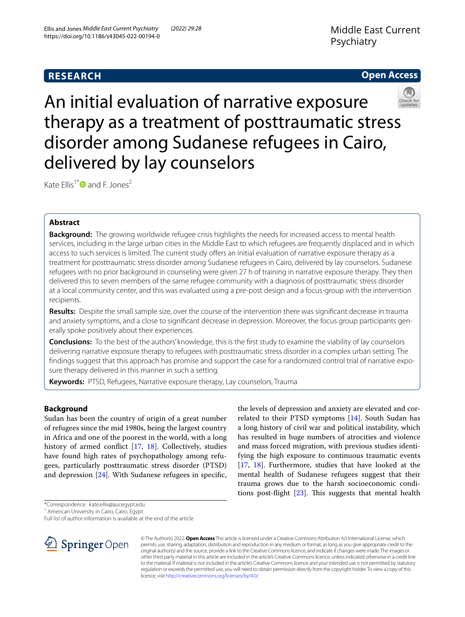**RESEARCH**

# **Open Access**



An initial evaluation of narrative exposure therapy as a treatment of posttraumatic stress disorder among Sudanese refugees in Cairo, delivered by lay counselors

Kate Ellis<sup>1[\\*](http://orcid.org/0000-0002-4228-8263)</sup> and F. Jones<sup>2</sup>

# **Abstract**

**Background:** The growing worldwide refugee crisis highlights the needs for increased access to mental health services, including in the large urban cities in the Middle East to which refugees are frequently displaced and in which access to such services is limited. The current study offers an initial evaluation of narrative exposure therapy as a treatment for posttraumatic stress disorder among Sudanese refugees in Cairo, delivered by lay counselors. Sudanese refugees with no prior background in counseling were given 27 h of training in narrative exposure therapy. They then delivered this to seven members of the same refugee community with a diagnosis of posttraumatic stress disorder at a local community center, and this was evaluated using a pre-post design and a focus-group with the intervention recipients.

**Results:** Despite the small sample size, over the course of the intervention there was signifcant decrease in trauma and anxiety symptoms, and a close to signifcant decrease in depression. Moreover, the focus group participants generally spoke positively about their experiences.

**Conclusions:** To the best of the authors' knowledge, this is the frst study to examine the viability of lay counselors delivering narrative exposure therapy to refugees with posttraumatic stress disorder in a complex urban setting. The fndings suggest that this approach has promise and support the case for a randomized control trial of narrative exposure therapy delivered in this manner in such a setting.

**Keywords:** PTSD, Refugees, Narrative exposure therapy, Lay counselors, Trauma

## **Background**

Sudan has been the country of origin of a great number of refugees since the mid 1980s, being the largest country in Africa and one of the poorest in the world, with a long history of armed confict [[17](#page-8-0), [18](#page-8-1)]. Collectively, studies have found high rates of psychopathology among refugees, particularly posttraumatic stress disorder (PTSD) and depression [\[24](#page-8-2)]. With Sudanese refugees in specifc,

the levels of depression and anxiety are elevated and correlated to their PTSD symptoms [[14\]](#page-8-3). South Sudan has a long history of civil war and political instability, which has resulted in huge numbers of atrocities and violence and mass forced migration, with previous studies identifying the high exposure to continuous traumatic events [[17,](#page-8-0) [18](#page-8-1)]. Furthermore, studies that have looked at the mental health of Sudanese refugees suggest that their trauma grows due to the harsh socioeconomic conditions post-flight  $[23]$  $[23]$ . This suggests that mental health

\*Correspondence: kate.ellis@aucegypt.edu

<sup>1</sup> American University in Cairo, Cairo, Egypt

Full list of author information is available at the end of the article



© The Author(s) 2022. **Open Access** This article is licensed under a Creative Commons Attribution 4.0 International License, which permits use, sharing, adaptation, distribution and reproduction in any medium or format, as long as you give appropriate credit to the original author(s) and the source, provide a link to the Creative Commons licence, and indicate if changes were made. The images or other third party material in this article are included in the article's Creative Commons licence, unless indicated otherwise in a credit line to the material. If material is not included in the article's Creative Commons licence and your intended use is not permitted by statutory regulation or exceeds the permitted use, you will need to obtain permission directly from the copyright holder. To view a copy of this licence, visit [http://creativecommons.org/licenses/by/4.0/.](http://creativecommons.org/licenses/by/4.0/)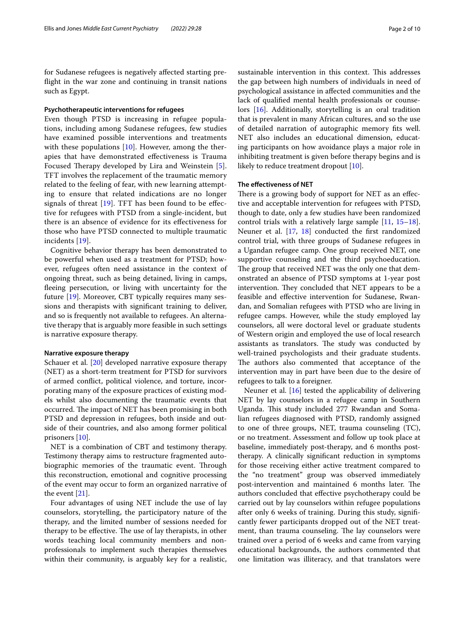for Sudanese refugees is negatively afected starting prefight in the war zone and continuing in transit nations such as Egypt.

#### **Psychotherapeutic interventions for refugees**

Even though PTSD is increasing in refugee populations, including among Sudanese refugees, few studies have examined possible interventions and treatments with these populations  $[10]$  $[10]$  $[10]$ . However, among the therapies that have demonstrated efectiveness is Trauma Focused Therapy developed by Lira and Weinstein [[5](#page-8-6)]. TFT involves the replacement of the traumatic memory related to the feeling of fear, with new learning attempting to ensure that related indications are no longer signals of threat  $[19]$  $[19]$ . TFT has been found to be effective for refugees with PTSD from a single-incident, but there is an absence of evidence for its efectiveness for those who have PTSD connected to multiple traumatic incidents [[19\]](#page-8-7).

Cognitive behavior therapy has been demonstrated to be powerful when used as a treatment for PTSD; however, refugees often need assistance in the context of ongoing threat, such as being detained, living in camps, feeing persecution, or living with uncertainty for the future [\[19](#page-8-7)]. Moreover, CBT typically requires many sessions and therapists with signifcant training to deliver, and so is frequently not available to refugees. An alternative therapy that is arguably more feasible in such settings is narrative exposure therapy.

#### **Narrative exposure therapy**

Schauer et al. [[20\]](#page-8-8) developed narrative exposure therapy (NET) as a short-term treatment for PTSD for survivors of armed confict, political violence, and torture, incorporating many of the exposure practices of existing models whilst also documenting the traumatic events that occurred. The impact of NET has been promising in both PTSD and depression in refugees, both inside and outside of their countries, and also among former political prisoners [\[10](#page-8-5)].

NET is a combination of CBT and testimony therapy. Testimony therapy aims to restructure fragmented autobiographic memories of the traumatic event. Through this reconstruction, emotional and cognitive processing of the event may occur to form an organized narrative of the event [[21\]](#page-8-9).

Four advantages of using NET include the use of lay counselors, storytelling, the participatory nature of the therapy, and the limited number of sessions needed for therapy to be effective. The use of lay therapists, in other words teaching local community members and nonprofessionals to implement such therapies themselves within their community, is arguably key for a realistic,

sustainable intervention in this context. This addresses the gap between high numbers of individuals in need of psychological assistance in afected communities and the lack of qualifed mental health professionals or counselors [[16\]](#page-8-10). Additionally, storytelling is an oral tradition that is prevalent in many African cultures, and so the use of detailed narration of autographic memory fts well. NET also includes an educational dimension, educating participants on how avoidance plays a major role in inhibiting treatment is given before therapy begins and is likely to reduce treatment dropout [[10](#page-8-5)].

#### **The efectiveness of NET**

There is a growing body of support for NET as an effective and acceptable intervention for refugees with PTSD, though to date, only a few studies have been randomized control trials with a relatively large sample [[11,](#page-8-11) [15](#page-8-12)[–18](#page-8-1)]. Neuner et al. [\[17](#page-8-0), [18\]](#page-8-1) conducted the frst randomized control trial, with three groups of Sudanese refugees in a Ugandan refugee camp. One group received NET, one supportive counseling and the third psychoeducation. The group that received NET was the only one that demonstrated an absence of PTSD symptoms at 1-year post intervention. They concluded that NET appears to be a feasible and efective intervention for Sudanese, Rwandan, and Somalian refugees with PTSD who are living in refugee camps. However, while the study employed lay counselors, all were doctoral level or graduate students of Western origin and employed the use of local research assistants as translators. The study was conducted by well-trained psychologists and their graduate students. The authors also commented that acceptance of the intervention may in part have been due to the desire of refugees to talk to a foreigner.

Neuner et al. [[16](#page-8-10)] tested the applicability of delivering NET by lay counselors in a refugee camp in Southern Uganda. This study included 277 Rwandan and Somalian refugees diagnosed with PTSD, randomly assigned to one of three groups, NET, trauma counseling (TC), or no treatment. Assessment and follow up took place at baseline, immediately post-therapy, and 6 months posttherapy. A clinically signifcant reduction in symptoms for those receiving either active treatment compared to the "no treatment" group was observed immediately post-intervention and maintained 6 months later. The authors concluded that efective psychotherapy could be carried out by lay counselors within refugee populations after only 6 weeks of training. During this study, signifcantly fewer participants dropped out of the NET treatment, than trauma counseling. The lay counselors were trained over a period of 6 weeks and came from varying educational backgrounds, the authors commented that one limitation was illiteracy, and that translators were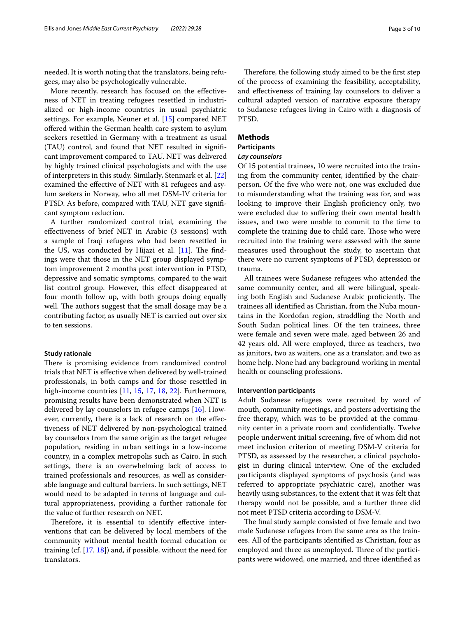needed. It is worth noting that the translators, being refugees, may also be psychologically vulnerable.

More recently, research has focused on the efectiveness of NET in treating refugees resettled in industrialized or high-income countries in usual psychiatric settings. For example, Neuner et al. [[15\]](#page-8-12) compared NET ofered within the German health care system to asylum seekers resettled in Germany with a treatment as usual (TAU) control, and found that NET resulted in signifcant improvement compared to TAU. NET was delivered by highly trained clinical psychologists and with the use of interpreters in this study. Similarly, Stenmark et al. [[22](#page-8-13)] examined the efective of NET with 81 refugees and asylum seekers in Norway, who all met DSM-IV criteria for PTSD. As before, compared with TAU, NET gave signifcant symptom reduction.

A further randomized control trial, examining the efectiveness of brief NET in Arabic (3 sessions) with a sample of Iraqi refugees who had been resettled in the US, was conducted by Hijazi et al.  $[11]$  $[11]$  $[11]$ . The findings were that those in the NET group displayed symptom improvement 2 months post intervention in PTSD, depressive and somatic symptoms, compared to the wait list control group. However, this efect disappeared at four month follow up, with both groups doing equally well. The authors suggest that the small dosage may be a contributing factor, as usually NET is carried out over six to ten sessions.

#### **Study rationale**

There is promising evidence from randomized control trials that NET is efective when delivered by well-trained professionals, in both camps and for those resettled in high-income countries [\[11](#page-8-11), [15,](#page-8-12) [17,](#page-8-0) [18](#page-8-1), [22](#page-8-13)]. Furthermore, promising results have been demonstrated when NET is delivered by lay counselors in refugee camps [[16\]](#page-8-10). However, currently, there is a lack of research on the efectiveness of NET delivered by non-psychological trained lay counselors from the same origin as the target refugee population, residing in urban settings in a low-income country, in a complex metropolis such as Cairo. In such settings, there is an overwhelming lack of access to trained professionals and resources, as well as considerable language and cultural barriers. In such settings, NET would need to be adapted in terms of language and cultural appropriateness, providing a further rationale for the value of further research on NET.

Therefore, it is essential to identify effective interventions that can be delivered by local members of the community without mental health formal education or training (cf.  $[17, 18]$  $[17, 18]$  $[17, 18]$ ) and, if possible, without the need for translators.

Therefore, the following study aimed to be the first step of the process of examining the feasibility, acceptability, and efectiveness of training lay counselors to deliver a cultural adapted version of narrative exposure therapy to Sudanese refugees living in Cairo with a diagnosis of PTSD.

## **Methods**

## **Participants**

## *Lay counselors*

Of 15 potential trainees, 10 were recruited into the training from the community center, identifed by the chairperson. Of the fve who were not, one was excluded due to misunderstanding what the training was for, and was looking to improve their English proficiency only, two were excluded due to sufering their own mental health issues, and two were unable to commit to the time to complete the training due to child care. Those who were recruited into the training were assessed with the same measures used throughout the study, to ascertain that there were no current symptoms of PTSD, depression or trauma.

All trainees were Sudanese refugees who attended the same community center, and all were bilingual, speaking both English and Sudanese Arabic proficiently. The trainees all identifed as Christian, from the Nuba mountains in the Kordofan region, straddling the North and South Sudan political lines. Of the ten trainees, three were female and seven were male, aged between 26 and 42 years old. All were employed, three as teachers, two as janitors, two as waiters, one as a translator, and two as home help. None had any background working in mental health or counseling professions.

### **Intervention participants**

Adult Sudanese refugees were recruited by word of mouth, community meetings, and posters advertising the free therapy, which was to be provided at the community center in a private room and confdentially. Twelve people underwent initial screening, fve of whom did not meet inclusion criterion of meeting DSM-V criteria for PTSD, as assessed by the researcher, a clinical psychologist in during clinical interview. One of the excluded participants displayed symptoms of psychosis (and was referred to appropriate psychiatric care), another was heavily using substances, to the extent that it was felt that therapy would not be possible, and a further three did not meet PTSD criteria according to DSM-V.

The final study sample consisted of five female and two male Sudanese refugees from the same area as the trainees. All of the participants identifed as Christian, four as employed and three as unemployed. Three of the participants were widowed, one married, and three identifed as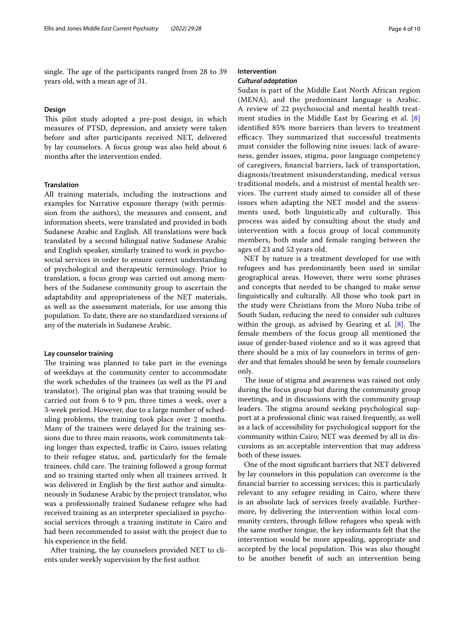single. The age of the participants ranged from 28 to 39 years old, with a mean age of 31.

### **Design**

This pilot study adopted a pre-post design, in which measures of PTSD, depression, and anxiety were taken before and after participants received NET, delivered by lay counselors. A focus group was also held about 6 months after the intervention ended.

### **Translation**

All training materials, including the instructions and examples for Narrative exposure therapy (with permission from the authors), the measures and consent, and information sheets, were translated and provided in both Sudanese Arabic and English. All translations were back translated by a second bilingual native Sudanese Arabic and English speaker, similarly trained to work in psychosocial services in order to ensure correct understanding of psychological and therapeutic terminology. Prior to translation, a focus group was carried out among members of the Sudanese community group to ascertain the adaptability and appropriateness of the NET materials, as well as the assessment materials, for use among this population. To date, there are no standardized versions of any of the materials in Sudanese Arabic.

#### **Lay counselor training**

The training was planned to take part in the evenings of weekdays at the community center to accommodate the work schedules of the trainees (as well as the PI and translator). The original plan was that training would be carried out from 6 to 9 pm, three times a week, over a 3-week period. However, due to a large number of scheduling problems, the training took place over 2 months. Many of the trainees were delayed for the training sessions due to three main reasons, work commitments taking longer than expected, traffic in Cairo, issues relating to their refugee status, and, particularly for the female trainees, child care. The training followed a group format and so training started only when all trainees arrived. It was delivered in English by the frst author and simultaneously in Sudanese Arabic by the project translator, who was a professionally trained Sudanese refugee who had received training as an interpreter specialized in psychosocial services through a training institute in Cairo and had been recommended to assist with the project due to his experience in the feld.

After training, the lay counselors provided NET to clients under weekly supervision by the frst author.

## **Intervention**

### *Cultural adaptation*

Sudan is part of the Middle East North African region (MENA), and the predominant language is Arabic. A review of 22 psychosocial and mental health treatment studies in the Middle East by Gearing et al. [\[8](#page-8-14)] identifed 85% more barriers than levers to treatment efficacy. They summarized that successful treatments must consider the following nine issues: lack of awareness, gender issues, stigma, poor language competency of caregivers, fnancial barriers, lack of transportation, diagnosis/treatment misunderstanding, medical versus traditional models, and a mistrust of mental health services. The current study aimed to consider all of these issues when adapting the NET model and the assessments used, both linguistically and culturally. This process was aided by consulting about the study and intervention with a focus group of local community members, both male and female ranging between the ages of 23 and 52 years old.

NET by nature is a treatment developed for use with refugees and has predominantly been used in similar geographical areas. However, there were some phrases and concepts that needed to be changed to make sense linguistically and culturally. All those who took part in the study were Christians from the Moro Nuba tribe of South Sudan, reducing the need to consider sub cultures within the group, as advised by Gearing et al.  $[8]$  $[8]$ . The female members of the focus group all mentioned the issue of gender-based violence and so it was agreed that there should be a mix of lay counselors in terms of gender and that females should be seen by female counselors only.

The issue of stigma and awareness was raised not only during the focus group but during the community group meetings, and in discussions with the community group leaders. The stigma around seeking psychological support at a professional clinic was raised frequently, as well as a lack of accessibility for psychological support for the community within Cairo; NET was deemed by all in discussions as an acceptable intervention that may address both of these issues.

One of the most signifcant barriers that NET delivered by lay counselors in this population can overcome is the fnancial barrier to accessing services; this is particularly relevant to any refugee residing in Cairo, where there is an absolute lack of services freely available. Furthermore, by delivering the intervention within local community centers, through fellow refugees who speak with the same mother tongue, the key informants felt that the intervention would be more appealing, appropriate and accepted by the local population. This was also thought to be another beneft of such an intervention being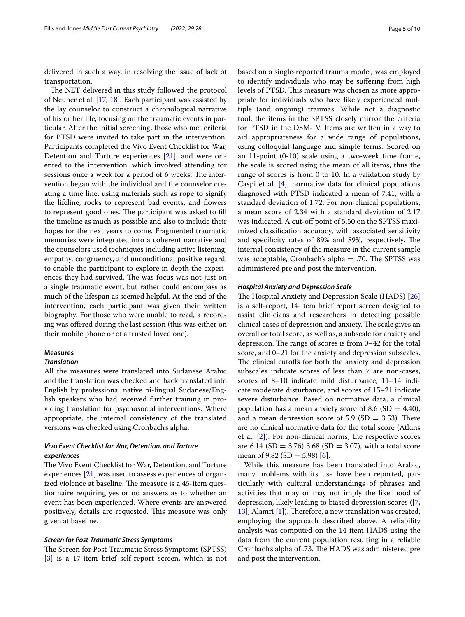delivered in such a way, in resolving the issue of lack of transportation.

The NET delivered in this study followed the protocol of Neuner et al. [\[17](#page-8-0), [18\]](#page-8-1). Each participant was assisted by the lay counselor to construct a chronological narrative of his or her life, focusing on the traumatic events in particular. After the initial screening, those who met criteria for PTSD were invited to take part in the intervention. Participants completed the Vivo Event Checklist for War, Detention and Torture experiences [[21](#page-8-9)], and were oriented to the intervention. which involved attending for sessions once a week for a period of 6 weeks. The intervention began with the individual and the counselor creating a time line, using materials such as rope to signify the lifeline, rocks to represent bad events, and fowers to represent good ones. The participant was asked to fill the timeline as much as possible and also to include their hopes for the next years to come. Fragmented traumatic memories were integrated into a coherent narrative and the counselors used techniques including active listening, empathy, congruency, and unconditional positive regard, to enable the participant to explore in depth the experiences they had survived. The was focus was not just on a single traumatic event, but rather could encompass as much of the lifespan as seemed helpful. At the end of the intervention, each participant was given their written biography. For those who were unable to read, a recording was ofered during the last session (this was either on their mobile phone or of a trusted loved one).

### **Measures**

### *Translation*

All the measures were translated into Sudanese Arabic and the translation was checked and back translated into English by professional native bi-lingual Sudanese/English speakers who had received further training in providing translation for psychosocial interventions. Where appropriate, the internal consistency of the translated versions was checked using Cronbach's alpha.

### *Vivo Event Checklist for War, Detention, and Torture experiences*

The Vivo Event Checklist for War, Detention, and Torture experiences [\[21](#page-8-9)] was used to assess experiences of organized violence at baseline. The measure is a 45-item questionnaire requiring yes or no answers as to whether an event has been experienced. Where events are answered positively, details are requested. This measure was only given at baseline.

#### *Screen for Post‑Traumatic Stress Symptoms*

The Screen for Post-Traumatic Stress Symptoms (SPTSS) [[3\]](#page-8-15) is a 17-item brief self-report screen, which is not based on a single-reported trauma model, was employed to identify individuals who may be sufering from high levels of PTSD. This measure was chosen as more appropriate for individuals who have likely experienced multiple (and ongoing) traumas. While not a diagnostic tool, the items in the SPTSS closely mirror the criteria for PTSD in the DSM-IV. Items are written in a way to aid appropriateness for a wide range of populations, using colloquial language and simple terms. Scored on an 11-point (0-10) scale using a two-week time frame, the scale is scored using the mean of all items, thus the range of scores is from 0 to 10. In a validation study by Caspi et al.  $[4]$  $[4]$ , normative data for clinical populations diagnosed with PTSD indicated a mean of 7.41, with a standard deviation of 1.72. For non-clinical populations, a mean score of 2.34 with a standard deviation of 2.17 was indicated. A cut-off point of 5.50 on the SPTSS maximized classifcation accuracy, with associated sensitivity and specificity rates of 89% and 89%, respectively. The internal consistency of the measure in the current sample was acceptable, Cronbach's alpha  $=$  .70. The SPTSS was administered pre and post the intervention.

#### *Hospital Anxiety and Depression Scale*

The Hospital Anxiety and Depression Scale (HADS) [[26](#page-8-17)] is a self-report, 14-item brief report screen designed to assist clinicians and researchers in detecting possible clinical cases of depression and anxiety. The scale gives an overall or total score, as well as, a subscale for anxiety and depression. The range of scores is from  $0-42$  for the total score, and 0–21 for the anxiety and depression subscales. The clinical cutoffs for both the anxiety and depression subscales indicate scores of less than 7 are non-cases, scores of 8–10 indicate mild disturbance, 11–14 indicate moderate disturbance, and scores of 15–21 indicate severe disturbance. Based on normative data, a clinical population has a mean anxiety score of 8.6 (SD = 4.40), and a mean depression score of 5.9 (SD  $=$  3.53). There are no clinical normative data for the total score (Atkins et al. [\[2](#page-8-18)]). For non-clinical norms, the respective scores are 6.14 (SD = 3.76) 3.68 (SD = 3.07), with a total score mean of 9.82 (SD = 5.98) [[6\]](#page-8-19).

While this measure has been translated into Arabic, many problems with its use have been reported, particularly with cultural understandings of phrases and activities that may or may not imply the likelihood of depression, likely leading to biased depression scores ([\[7](#page-8-20),  $[13]$  $[13]$ ; Alamri  $[1]$  $[1]$ ). Therefore, a new translation was created, employing the approach described above. A reliability analysis was computed on the 14 item HADS using the data from the current population resulting in a reliable Cronbach's alpha of .73. The HADS was administered pre and post the intervention.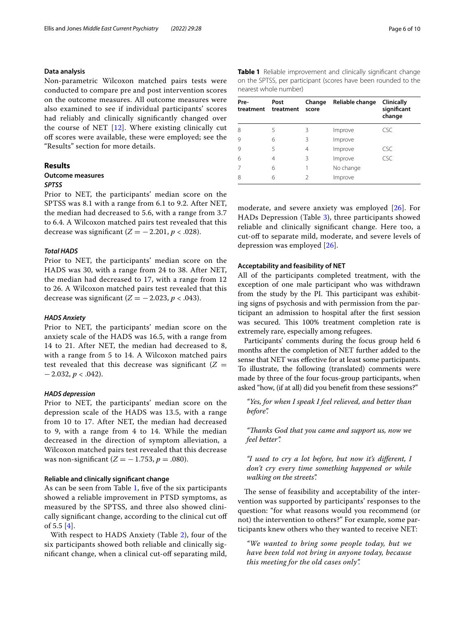#### **Data analysis**

Non-parametric Wilcoxon matched pairs tests were conducted to compare pre and post intervention scores on the outcome measures. All outcome measures were also examined to see if individual participants' scores had reliably and clinically signifcantly changed over the course of NET  $[12]$  $[12]$  $[12]$ . Where existing clinically cut off scores were available, these were employed; see the "Results" section for more details.

## **Results**

## **Outcome measures**

### *SPTSS*

Prior to NET, the participants' median score on the SPTSS was 8.1 with a range from 6.1 to 9.2. After NET, the median had decreased to 5.6, with a range from 3.7 to 6.4. A Wilcoxon matched pairs test revealed that this decrease was significant  $(Z = -2.201, p < .028)$ .

### *Total HADS*

Prior to NET, the participants' median score on the HADS was 30, with a range from 24 to 38. After NET, the median had decreased to 17, with a range from 12 to 26. A Wilcoxon matched pairs test revealed that this decrease was significant  $(Z = -2.023, p < .043)$ .

### *HADS Anxiety*

Prior to NET, the participants' median score on the anxiety scale of the HADS was 16.5, with a range from 14 to 21. After NET, the median had decreased to 8, with a range from 5 to 14. A Wilcoxon matched pairs test revealed that this decrease was significant  $(Z =$ −2.032, *p* < .042).

#### *HADS depression*

Prior to NET, the participants' median score on the depression scale of the HADS was 13.5, with a range from 10 to 17. After NET, the median had decreased to 9, with a range from 4 to 14. While the median decreased in the direction of symptom alleviation, a Wilcoxon matched pairs test revealed that this decrease was non-significant  $(Z = -1.753, p = .080)$ .

### **Reliable and clinically signifcant change**

As can be seen from Table [1](#page-5-0), fve of the six participants showed a reliable improvement in PTSD symptoms, as measured by the SPTSS, and three also showed clinically signifcant change, according to the clinical cut of of 5.5 [[4\]](#page-8-16).

With respect to HADS Anxiety (Table [2](#page-6-0)), four of the six participants showed both reliable and clinically signifcant change, when a clinical cut-of separating mild, <span id="page-5-0"></span>**Table 1** Reliable improvement and clinically signifcant change on the SPTSS, per participant (scores have been rounded to the nearest whole number)

| Pre-<br>treatment | Post<br>treatment | Change<br>score | Reliable change | Clinically<br>significant<br>change |
|-------------------|-------------------|-----------------|-----------------|-------------------------------------|
| 8                 | 5                 | 3               | Improve         | <b>CSC</b>                          |
| 9                 | 6                 | 3               | Improve         |                                     |
| $\mathsf{Q}$      | 5                 | 4               | Improve         | <b>CSC</b>                          |
| 6                 | 4                 | 3               | Improve         | <b>CSC</b>                          |
| 7                 | 6                 |                 | No change       |                                     |
| 8                 | 6                 | 2               | Improve         |                                     |

moderate, and severe anxiety was employed [[26\]](#page-8-17). For HADs Depression (Table [3](#page-6-1)), three participants showed reliable and clinically signifcant change. Here too, a cut-off to separate mild, moderate, and severe levels of depression was employed [[26\]](#page-8-17).

#### **Acceptability and feasibility of NET**

All of the participants completed treatment, with the exception of one male participant who was withdrawn from the study by the PI. This participant was exhibiting signs of psychosis and with permission from the participant an admission to hospital after the frst session was secured. This 100% treatment completion rate is extremely rare, especially among refugees.

Participants' comments during the focus group held 6 months after the completion of NET further added to the sense that NET was efective for at least some participants. To illustrate, the following (translated) comments were made by three of the four focus-group participants, when asked "how, (if at all) did you beneft from these sessions?"

*"Yes, for when I speak I feel relieved, and better than before".*

*"Tanks God that you came and support us, now we feel better".*

*"I used to cry a lot before, but now it's diferent, I don't cry every time something happened or while walking on the streets".*

The sense of feasibility and acceptability of the intervention was supported by participants' responses to the question: "for what reasons would you recommend (or not) the intervention to others?" For example, some participants knew others who they wanted to receive NET:

*"We wanted to bring some people today, but we have been told not bring in anyone today, because this meeting for the old cases only".*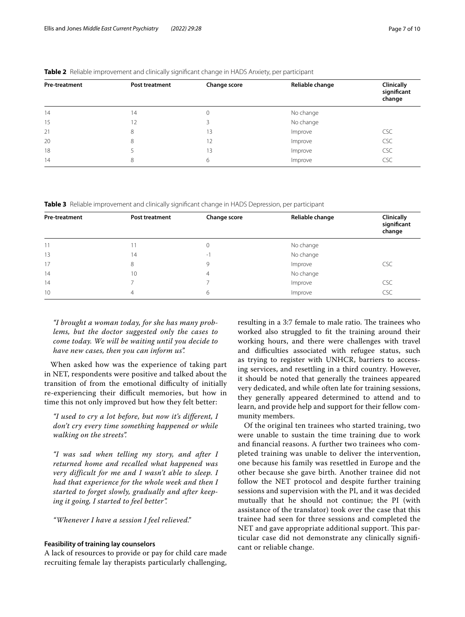| Pre-treatment | Post treatment | Change score | Reliable change | Clinically<br>significant<br>change |
|---------------|----------------|--------------|-----------------|-------------------------------------|
| 14            | 14             | 0            | No change       |                                     |
| 15            | 12             |              | No change       |                                     |
| 21            | 8              | 13           | Improve         | <b>CSC</b>                          |
| 20            | 8              | 12           | Improve         | <b>CSC</b>                          |
| 18            |                | 13           | Improve         | <b>CSC</b>                          |
| 14            | 8              | 6            | Improve         | CSC                                 |

<span id="page-6-0"></span>**Table 2** Reliable improvement and clinically signifcant change in HADS Anxiety, per participant

<span id="page-6-1"></span>**Table 3** Reliable improvement and clinically signifcant change in HADS Depression, per participant

| Pre-treatment | <b>Post treatment</b> | Change score | Reliable change | Clinically<br>significant<br>change |
|---------------|-----------------------|--------------|-----------------|-------------------------------------|
| 11            | $\mathbf{1}$          | 0            | No change       |                                     |
| 13            | 14                    | -1           | No change       |                                     |
| 17            | 8                     | 9            | Improve         | <b>CSC</b>                          |
| 14            | 10                    | 4            | No change       |                                     |
| 14            |                       |              | Improve         | <b>CSC</b>                          |
| 10            | 4                     | 6            | Improve         | CSC                                 |

*"I brought a woman today, for she has many problems, but the doctor suggested only the cases to come today. We will be waiting until you decide to have new cases, then you can inform us".*

When asked how was the experience of taking part in NET, respondents were positive and talked about the transition of from the emotional difficulty of initially re-experiencing their difficult memories, but how in time this not only improved but how they felt better:

*"I used to cry a lot before, but now it's different, I don't cry every time something happened or while walking on the streets".*

*"I was sad when telling my story, and after I returned home and recalled what happened was very difficult for me and I wasn't able to sleep. I had that experience for the whole week and then I started to forget slowly, gradually and after keeping it going, I started to feel better".*

*"Whenever I have a session I feel relieved."*

### **Feasibility of training lay counselors**

A lack of resources to provide or pay for child care made recruiting female lay therapists particularly challenging, resulting in a 3:7 female to male ratio. The trainees who worked also struggled to ft the training around their working hours, and there were challenges with travel and difficulties associated with refugee status, such as trying to register with UNHCR, barriers to accessing services, and resettling in a third country. However, it should be noted that generally the trainees appeared very dedicated, and while often late for training sessions, they generally appeared determined to attend and to learn, and provide help and support for their fellow community members.

Of the original ten trainees who started training, two were unable to sustain the time training due to work and fnancial reasons. A further two trainees who completed training was unable to deliver the intervention, one because his family was resettled in Europe and the other because she gave birth. Another trainee did not follow the NET protocol and despite further training sessions and supervision with the PI, and it was decided mutually that he should not continue; the PI (with assistance of the translator) took over the case that this trainee had seen for three sessions and completed the NET and gave appropriate additional support. This particular case did not demonstrate any clinically signifcant or reliable change.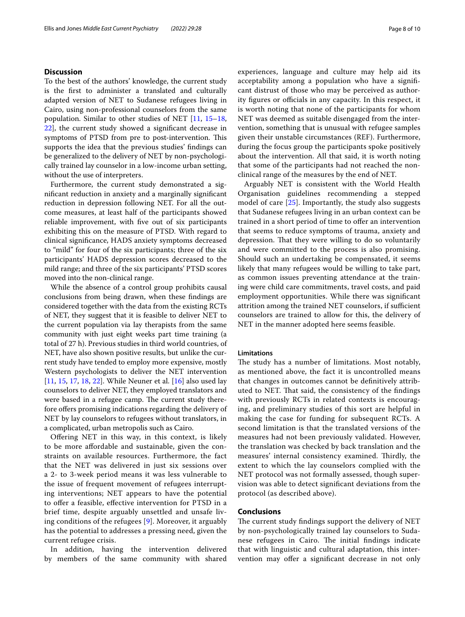### **Discussion**

To the best of the authors' knowledge, the current study is the frst to administer a translated and culturally adapted version of NET to Sudanese refugees living in Cairo, using non-professional counselors from the same population. Similar to other studies of NET [\[11,](#page-8-11) [15](#page-8-12)[–18](#page-8-1), [22\]](#page-8-13), the current study showed a signifcant decrease in symptoms of PTSD from pre to post-intervention. This supports the idea that the previous studies' fndings can be generalized to the delivery of NET by non-psychologically trained lay counselor in a low-income urban setting, without the use of interpreters.

Furthermore, the current study demonstrated a signifcant reduction in anxiety and a marginally signifcant reduction in depression following NET. For all the outcome measures, at least half of the participants showed reliable improvement, with fve out of six participants exhibiting this on the measure of PTSD. With regard to clinical signifcance, HADS anxiety symptoms decreased to "mild" for four of the six participants; three of the six participants' HADS depression scores decreased to the mild range; and three of the six participants' PTSD scores moved into the non-clinical range.

While the absence of a control group prohibits causal conclusions from being drawn, when these fndings are considered together with the data from the existing RCTs of NET, they suggest that it is feasible to deliver NET to the current population via lay therapists from the same community with just eight weeks part time training (a total of 27 h). Previous studies in third world countries, of NET, have also shown positive results, but unlike the current study have tended to employ more expensive, mostly Western psychologists to deliver the NET intervention [[11,](#page-8-11) [15](#page-8-12), [17](#page-8-0), [18,](#page-8-1) [22](#page-8-13)]. While Neuner et al. [\[16\]](#page-8-10) also used lay counselors to deliver NET, they employed translators and were based in a refugee camp. The current study therefore offers promising indications regarding the delivery of NET by lay counselors to refugees without translators, in a complicated, urban metropolis such as Cairo.

Ofering NET in this way, in this context, is likely to be more affordable and sustainable, given the constraints on available resources. Furthermore, the fact that the NET was delivered in just six sessions over a 2- to 3-week period means it was less vulnerable to the issue of frequent movement of refugees interrupting interventions; NET appears to have the potential to ofer a feasible, efective intervention for PTSD in a brief time, despite arguably unsettled and unsafe living conditions of the refugees [\[9](#page-8-24)]. Moreover, it arguably has the potential to addresses a pressing need, given the current refugee crisis.

In addition, having the intervention delivered by members of the same community with shared experiences, language and culture may help aid its acceptability among a population who have a signifcant distrust of those who may be perceived as authority figures or officials in any capacity. In this respect, it is worth noting that none of the participants for whom NET was deemed as suitable disengaged from the intervention, something that is unusual with refugee samples given their unstable circumstances (REF). Furthermore, during the focus group the participants spoke positively about the intervention. All that said, it is worth noting that some of the participants had not reached the nonclinical range of the measures by the end of NET.

Arguably NET is consistent with the World Health Organisation guidelines recommending a stepped model of care [[25\]](#page-8-25). Importantly, the study also suggests that Sudanese refugees living in an urban context can be trained in a short period of time to offer an intervention that seems to reduce symptoms of trauma, anxiety and depression. That they were willing to do so voluntarily and were committed to the process is also promising. Should such an undertaking be compensated, it seems likely that many refugees would be willing to take part, as common issues preventing attendance at the training were child care commitments, travel costs, and paid employment opportunities. While there was signifcant attrition among the trained NET counselors, if sufficient counselors are trained to allow for this, the delivery of NET in the manner adopted here seems feasible.

### **Limitations**

The study has a number of limitations. Most notably, as mentioned above, the fact it is uncontrolled means that changes in outcomes cannot be defnitively attributed to NET. That said, the consistency of the findings with previously RCTs in related contexts is encouraging, and preliminary studies of this sort are helpful in making the case for funding for subsequent RCTs. A second limitation is that the translated versions of the measures had not been previously validated. However, the translation was checked by back translation and the measures' internal consistency examined. Thirdly, the extent to which the lay counselors complied with the NET protocol was not formally assessed, though supervision was able to detect signifcant deviations from the protocol (as described above).

### **Conclusions**

The current study findings support the delivery of NET by non-psychologically trained lay counselors to Sudanese refugees in Cairo. The initial findings indicate that with linguistic and cultural adaptation, this intervention may offer a significant decrease in not only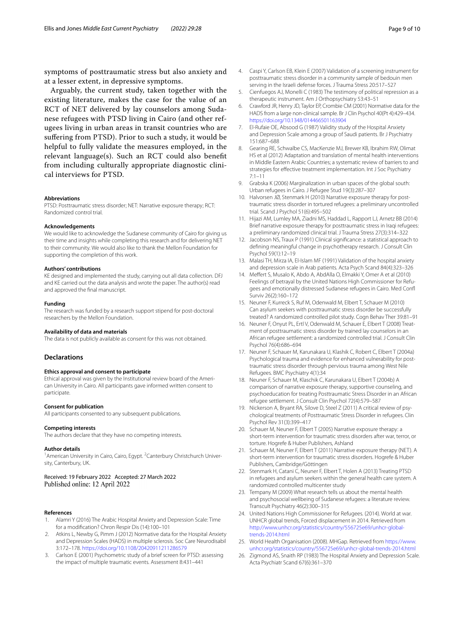symptoms of posttraumatic stress but also anxiety and at a lesser extent, in depressive symptoms.

Arguably, the current study, taken together with the existing literature, makes the case for the value of an RCT of NET delivered by lay counselors among Sudanese refugees with PTSD living in Cairo (and other refugees living in urban areas in transit countries who are sufering from PTSD). Prior to such a study, it would be helpful to fully validate the measures employed, in the relevant language(s). Such an RCT could also beneft from including culturally appropriate diagnostic clinical interviews for PTSD.

#### **Abbreviations**

PTSD: Posttraumatic stress disorder; NET: Narrative exposure therapy; RCT: Randomized control trial.

#### **Acknowledgements**

We would like to acknowledge the Sudanese community of Cairo for giving us their time and insights while completing this research and for delivering NET to their community. We would also like to thank the Mellon Foundation for supporting the completion of this work.

#### **Authors' contributions**

KE designed and implemented the study, carrying out all data collection. DFJ and KE carried out the data analysis and wrote the paper. The author(s) read and approved the fnal manuscript.

#### **Funding**

The research was funded by a research support stipend for post-doctoral researchers by the Mellon Foundation.

#### **Availability of data and materials**

The data is not publicly available as consent for this was not obtained.

#### **Declarations**

#### **Ethics approval and consent to participate**

Ethical approval was given by the Institutional review board of the American University in Cairo. All participants gave informed written consent to participate.

### **Consent for publication**

All participants consented to any subsequent publications.

#### **Competing interests**

The authors declare that they have no competing interests.

#### **Author details**

<sup>1</sup> American University in Cairo, Cairo, Egypt. <sup>2</sup> Canterbury Christchurch University, Canterbury, UK.

Received: 19 February 2022 Accepted: 27 March 2022 Published online: 12 April 2022

#### **References**

- <span id="page-8-22"></span>1. Alamri Y (2016) The Arabic Hospital Anxiety and Depression Scale: Time for a modifcation? Chron Respir Dis (14):100–101
- <span id="page-8-18"></span>2. Atkins L, Newby G, Pimm J (2012) Normative data for the Hospital Anxiety and Depression Scales (HADS) in multiple sclerosis. Soc Care Neurodisabil 3:172–178.<https://doi.org/10.1108/20420911211286579>
- <span id="page-8-15"></span>3. Carlson E (2001) Psychometric study of a brief screen for PTSD: assessing the impact of multiple traumatic events. Assessment 8:431–441
- <span id="page-8-16"></span>4. Caspi Y, Carlson EB, Klein E (2007) Validation of a screening instrument for posttraumatic stress disorder in a community sample of bedouin men serving in the Israeli defense forces. J Trauma Stress 20:517–527
- <span id="page-8-6"></span>5. Cienfuegos AJ, Monelli C (1983) The testimony of political repression as a therapeutic instrument. Am J Orthopsychiatry 53:43–51
- <span id="page-8-19"></span>6. Crawford JR, Henry JD, Taylor EP, Crombie CM (2001) Normative data for the HADS from a large non-clinical sample. Br J Clin Psychol 40(Pt 4):429–434. <https://doi.org/10.1348/014466501163904>
- <span id="page-8-20"></span>7. El-Rufaie OE, Absood G (1987) Validity study of the Hospital Anxiety and Depression Scale among a group of Saudi patients. Br J Psychiatry 151:687–688
- <span id="page-8-14"></span>8. Gearing RE, Schwalbe CS, MacKenzie MJ, Brewer KB, Ibrahim RW, Olimat HS et al (2012) Adaptation and translation of mental health interventions in Middle Eastern Arabic Countries; a systematic review of barriers to and strategies for efective treatment implementation. Int J Soc Psychiatry 7:1–11
- <span id="page-8-24"></span>9. Grabska K (2006) Marginalization in urban spaces of the global south: Urban refugees in Cairo. J Refugee Stud 19(3):287–307
- <span id="page-8-5"></span>10. Halvorsen JØ, Stenmark H (2010) Narrative exposure therapy for posttraumatic stress disorder in tortured refugees: a preliminary uncontrolled trial. Scand J Psychol 51(6):495–502
- <span id="page-8-11"></span>11. Hijazi AM, Lumley MA, Ziadni MS, Haddad L, Rapport LJ, Arnetz BB (2014) Brief narrative exposure therapy for posttraumatic stress in Iraqi refugees: a preliminary randomized clinical trial. J Trauma Stress 27(3):314–322
- <span id="page-8-23"></span>12. Jacobson NS, Traux P (1991) Clinical signifcance: a statistical approach to defning meaningful change in psychotherapy research. J Consult Clin Psychol 59(1):12–19
- <span id="page-8-21"></span>13. Malasi TH, Mirza IA, El-Islam MF (1991) Validation of the hospital anxiety and depression scale in Arab patients. Acta Psych Scand 84(4):323–326
- <span id="page-8-3"></span>14. Mefert S, Musalo K, Abdo A, AbdAlla O, Elmakki Y, Omer A et al (2010) Feelings of betrayal by the United Nations High Commissioner for Refugees and emotionally distressed Sudanese refugees in Cairo. Med Conf Surviv 26(2):160–172
- <span id="page-8-12"></span>15. Neuner F, Kurreck S, Ruf M, Odenwald M, Elbert T, Schauer M (2010) Can asylum seekers with posttraumatic stress disorder be successfully treated? A randomized controlled pilot study. Cogn Behav Ther 39:81–91
- <span id="page-8-10"></span>16. Neuner F, Onyut PL, Ertl V, Odenwald M, Schauer E, Elbert T (2008) Treatment of posttraumatic stress disorder by trained lay counselors in an African refugee settlement: a randomized controlled trial. J Consult Clin Psychol 76(4):686–694
- <span id="page-8-0"></span>17. Neuner F, Schauer M, Karunakara U, Klashik C, Robert C, Elbert T (2004a) Psychological trauma and evidence for enhanced vulnerability for posttraumatic stress disorder through pervious trauma among West Nile Refugees. BMC Psychiatry 4(1):34
- <span id="page-8-1"></span>18. Neuner F, Schauer M, Klaschik C, Karunakara U, Elbert T (2004b) A comparison of narrative exposure therapy, supportive counseling, and psychoeducation for treating Posttraumatic Stress Disorder in an African refugee settlement. J Consult Clin Psychol 72(4):579–587
- <span id="page-8-7"></span>19. Nickerson A, Bryant RA, Silove D, Steel Z (2011) A critical review of psychological treatments of Posttraumatic Stress Disorder in refugees. Clin Psychol Rev 31(3):399–417
- <span id="page-8-8"></span>20. Schauer M, Neuner F, Elbert T (2005) Narrative exposure therapy: a short-term intervention for traumatic stress disorders after war, terror, or torture. Hogrefe & Huber Publishers, Ashland
- <span id="page-8-9"></span>21. Schauer M, Neuner F, Elbert T (2011) Narrative exposure therapy (NET). A short-term intervention for traumatic stress disorders. Hogrefe & Huber Publishers, Cambridge/Göttingen
- <span id="page-8-13"></span>22. Stenmark H, Catani C, Neuner F, Elbert T, Holen A (2013) Treating PTSD in refugees and asylum seekers within the general health care system. A randomized controlled multicenter study
- <span id="page-8-4"></span>23. Tempany M (2009) What research tells us about the mental health and psychosocial wellbeing of Sudanese refugees: a literature review. Transcult Psychiatry 46(2):300–315
- <span id="page-8-2"></span>24. United Nations High Commissioner for Refugees. (2014). World at war. UNHCR global trends, Forced displacement in 2014. Retrieved from [http://www.unhcr.org/statistics/country/556725e69/unhcr-global](http://www.unhcr.org/statistics/country/556725e69/unhcr-global-trends-2014.html)[trends-2014.html](http://www.unhcr.org/statistics/country/556725e69/unhcr-global-trends-2014.html)
- <span id="page-8-25"></span>25. World Health Organisation (2008). MHGap. Retrieved from [https://www.](https://www.unhcr.org/statistics/country/556725e69/unhcr-global-trends-2014.html) [unhcr.org/statistics/country/556725e69/unhcr-global-trends-2014.html](https://www.unhcr.org/statistics/country/556725e69/unhcr-global-trends-2014.html)
- <span id="page-8-17"></span>26. Zigmond AS, Snaith RP (1983) The Hospital Anxiety and Depression Scale. Acta Psychiatr Scand 67(6):361–370